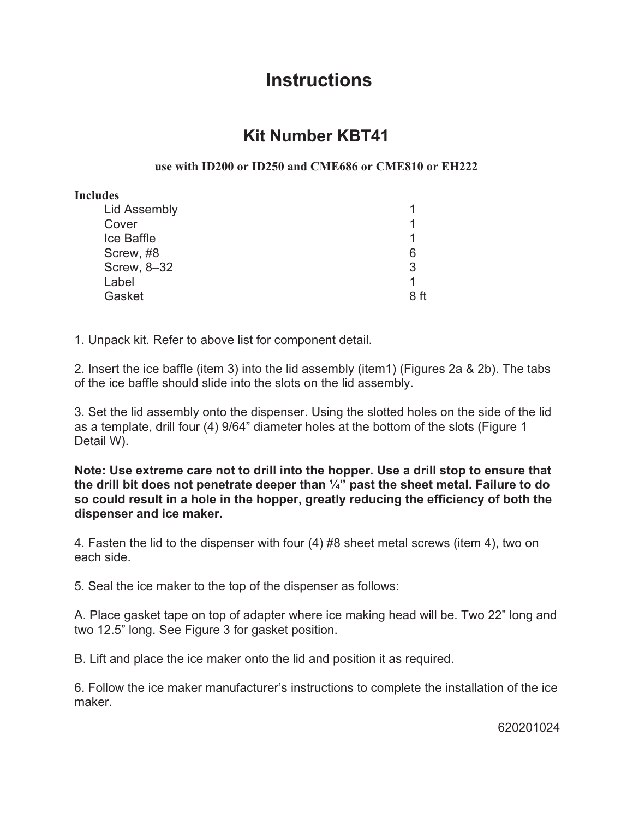## **Instructions**

## **Kit Number KBT41**

## **use with ID200 or ID250 and CME686 or CME810 or EH222**

## **Includes**

| <b>Lid Assembly</b> |      |
|---------------------|------|
| Cover               |      |
| Ice Baffle          | 1    |
| Screw, #8           | 6    |
| Screw, 8-32         | 3    |
| Label               |      |
| Gasket              | 8 ff |

1. Unpack kit. Refer to above list for component detail.

2. Insert the ice baffle (item 3) into the lid assembly (item1) (Figures 2a & 2b). The tabs of the ice baffle should slide into the slots on the lid assembly.

3. Set the lid assembly onto the dispenser. Using the slotted holes on the side of the lid as a template, drill four (4) 9/64" diameter holes at the bottom of the slots (Figure 1 Detail W).

**Note: Use extreme care not to drill into the hopper. Use a drill stop to ensure that the drill bit does not penetrate deeper than ¼" past the sheet metal. Failure to do so could result in a hole in the hopper, greatly reducing the efficiency of both the dispenser and ice maker.**

4. Fasten the lid to the dispenser with four (4) #8 sheet metal screws (item 4), two on each side.

5. Seal the ice maker to the top of the dispenser as follows:

A. Place gasket tape on top of adapter where ice making head will be. Two 22" long and two 12.5" long. See Figure 3 for gasket position.

B. Lift and place the ice maker onto the lid and position it as required.

6. Follow the ice maker manufacturer's instructions to complete the installation of the ice maker.

620201024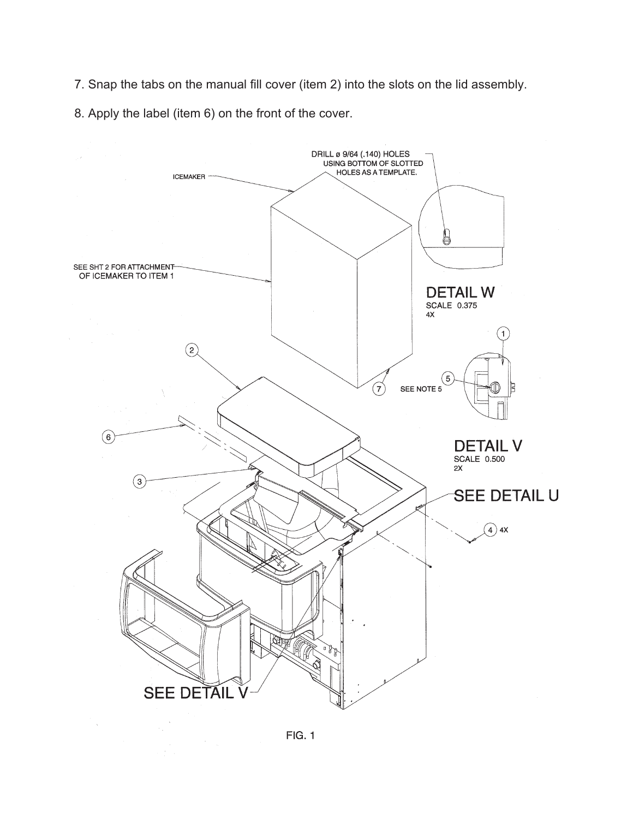7. Snap the tabs on the manual fill cover (item 2) into the slots on the lid assembly.

8. Apply the label (item 6) on the front of the cover.



**FIG. 1** 

 $\label{eq:2} \frac{1}{\sqrt{2}}\left(\frac{1}{\sqrt{2}}\right)^2\frac{1}{\sqrt{2}}\left(\frac{1}{\sqrt{2}}\right)^2.$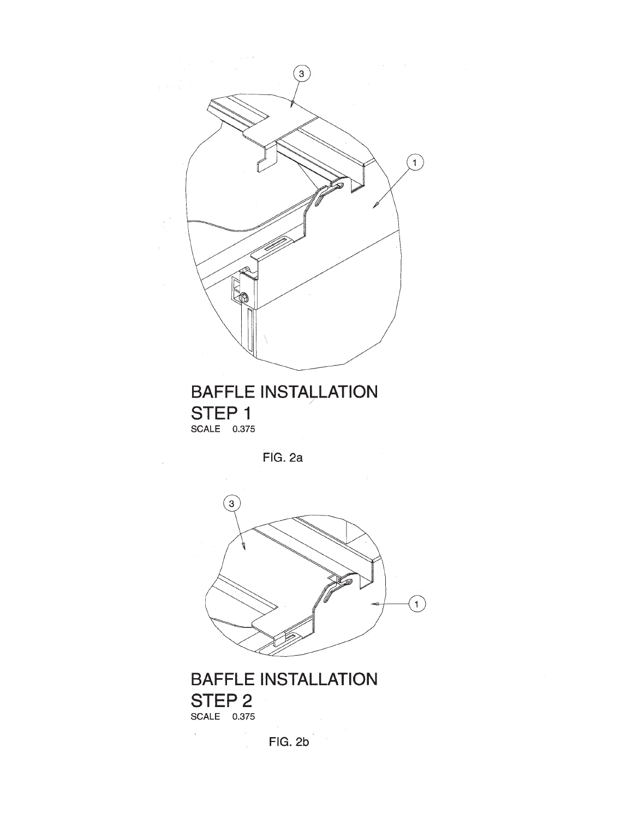

**BAFFLE INSTALLATION** STEP 1 SCALE 0.375

FIG. 2a



**BAFFLE INSTALLATION** STEP<sub>2</sub> SCALE 0.375

 $\mathcal{C}^{\mathcal{C}}$ 

 $FIG. 2b$